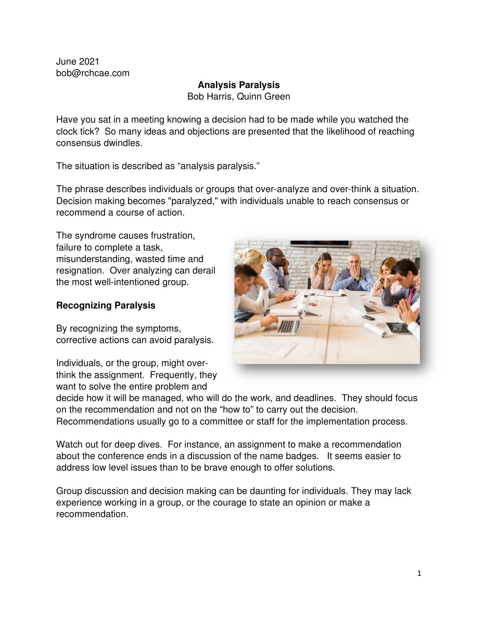June 2021 bob@rchcae.com

## **Analysis Paralysis**

Bob Harris, Quinn Green

Have you sat in a meeting knowing a decision had to be made while you watched the clock tick? So many ideas and objections are presented that the likelihood of reaching consensus dwindles.

The situation is described as "analysis paralysis."

The phrase describes individuals or groups that over-analyze and over-think a situation. Decision making becomes "paralyzed," with individuals unable to reach consensus or recommend a course of action.

The syndrome causes frustration, failure to complete a task, misunderstanding, wasted time and resignation. Over analyzing can derail the most well-intentioned group.

# **Recognizing Paralysis**

By recognizing the symptoms, corrective actions can avoid paralysis.

Individuals, or the group, might overthink the assignment. Frequently, they want to solve the entire problem and



decide how it will be managed, who will do the work, and deadlines. They should focus on the recommendation and not on the "how to" to carry out the decision. Recommendations usually go to a committee or staff for the implementation process.

Watch out for deep dives. For instance, an assignment to make a recommendation about the conference ends in a discussion of the name badges. It seems easier to address low level issues than to be brave enough to offer solutions.

Group discussion and decision making can be daunting for individuals. They may lack experience working in a group, or the courage to state an opinion or make a recommendation.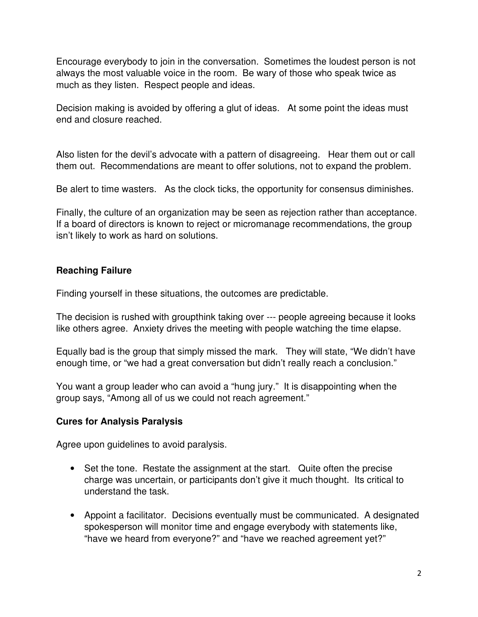Encourage everybody to join in the conversation. Sometimes the loudest person is not always the most valuable voice in the room. Be wary of those who speak twice as much as they listen. Respect people and ideas.

Decision making is avoided by offering a glut of ideas. At some point the ideas must end and closure reached.

Also listen for the devil's advocate with a pattern of disagreeing. Hear them out or call them out. Recommendations are meant to offer solutions, not to expand the problem.

Be alert to time wasters. As the clock ticks, the opportunity for consensus diminishes.

Finally, the culture of an organization may be seen as rejection rather than acceptance. If a board of directors is known to reject or micromanage recommendations, the group isn't likely to work as hard on solutions.

### **Reaching Failure**

Finding yourself in these situations, the outcomes are predictable.

The decision is rushed with groupthink taking over --- people agreeing because it looks like others agree. Anxiety drives the meeting with people watching the time elapse.

Equally bad is the group that simply missed the mark. They will state, "We didn't have enough time, or "we had a great conversation but didn't really reach a conclusion."

You want a group leader who can avoid a "hung jury." It is disappointing when the group says, "Among all of us we could not reach agreement."

### **Cures for Analysis Paralysis**

Agree upon guidelines to avoid paralysis.

- Set the tone. Restate the assignment at the start. Quite often the precise charge was uncertain, or participants don't give it much thought. Its critical to understand the task.
- Appoint a facilitator. Decisions eventually must be communicated. A designated spokesperson will monitor time and engage everybody with statements like, "have we heard from everyone?" and "have we reached agreement yet?"